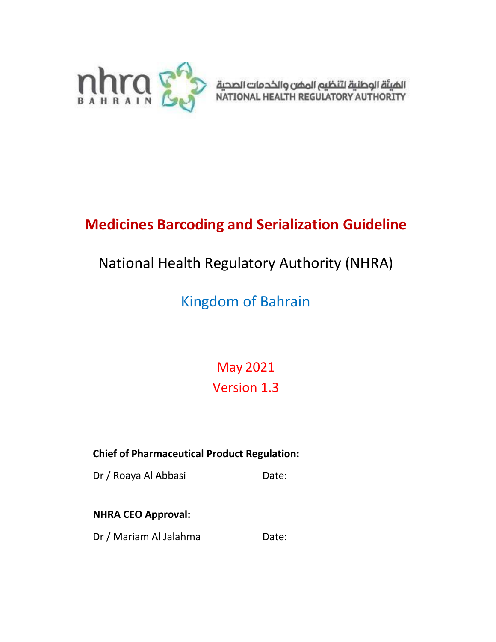

# **Medicines Barcoding and Serialization Guideline**

# National Health Regulatory Authority (NHRA)

# Kingdom of Bahrain

May 2021 Version 1.3

**Chief of Pharmaceutical Product Regulation:**

Dr / Roaya Al Abbasi Date:

## **NHRA CEO Approval:**

Dr / Mariam Al Jalahma Date: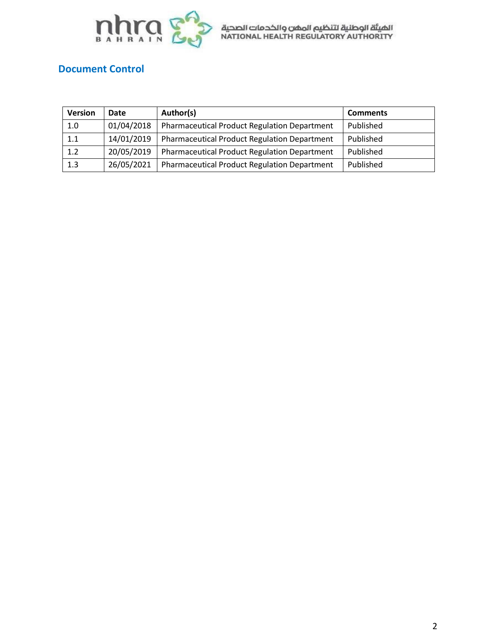

## **Document Control**

| <b>Version</b> | Date       | Author(s)                                           | <b>Comments</b> |
|----------------|------------|-----------------------------------------------------|-----------------|
| 1.0            | 01/04/2018 | Pharmaceutical Product Regulation Department        | Published       |
| 1.1            | 14/01/2019 | <b>Pharmaceutical Product Regulation Department</b> | Published       |
| 1.2            | 20/05/2019 | Pharmaceutical Product Regulation Department        | Published       |
| 1.3            | 26/05/2021 | <b>Pharmaceutical Product Regulation Department</b> | Published       |
|                |            |                                                     |                 |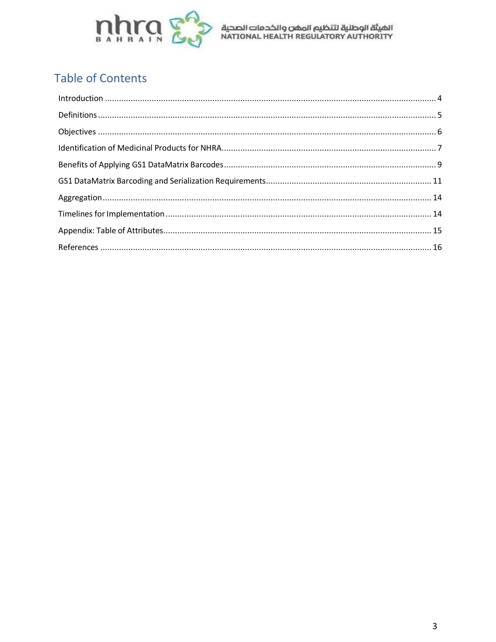

## **Table of Contents**

| $\label{eq:interoduction} \text{Introduction} \,\, \ldots \,\, \ldots \,\, \ldots \,\, \ldots \,\, \ldots \,\, \ldots \,\, \ldots \,\, \ldots \,\, \ldots \,\, \ldots \,\, \ldots \,\, \ldots \,\, \ldots \,\, \ldots \,\, \ldots \,\, \ldots \,\, \ldots \,\, \ldots \,\, \ldots \,\, \ldots \,\, \ldots \,\, \ldots \,\, \ldots \,\, \ldots \,\, \ldots \,\, \ldots \,\, \ldots \,\, \ldots \,\, \ldots \,\, \ldots \,\, \ldots \,\, \ldots \,\, \ldots \,\, \ldots \,\$ |  |
|----------------------------------------------------------------------------------------------------------------------------------------------------------------------------------------------------------------------------------------------------------------------------------------------------------------------------------------------------------------------------------------------------------------------------------------------------------------------------|--|
|                                                                                                                                                                                                                                                                                                                                                                                                                                                                            |  |
|                                                                                                                                                                                                                                                                                                                                                                                                                                                                            |  |
|                                                                                                                                                                                                                                                                                                                                                                                                                                                                            |  |
|                                                                                                                                                                                                                                                                                                                                                                                                                                                                            |  |
|                                                                                                                                                                                                                                                                                                                                                                                                                                                                            |  |
|                                                                                                                                                                                                                                                                                                                                                                                                                                                                            |  |
|                                                                                                                                                                                                                                                                                                                                                                                                                                                                            |  |
|                                                                                                                                                                                                                                                                                                                                                                                                                                                                            |  |
|                                                                                                                                                                                                                                                                                                                                                                                                                                                                            |  |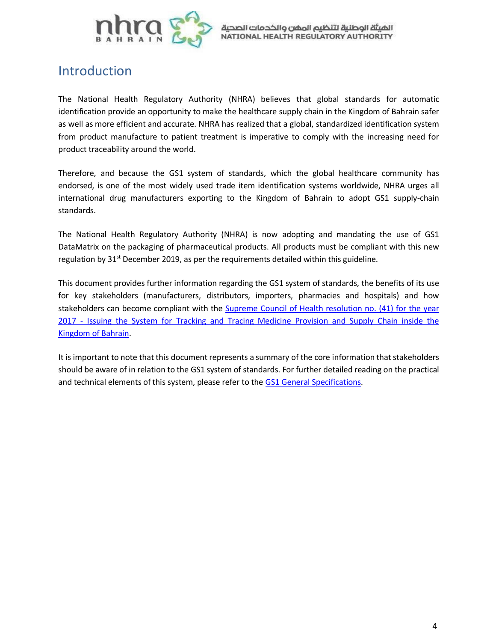

## <span id="page-3-0"></span>Introduction

The National Health Regulatory Authority (NHRA) believes that global standards for automatic identification provide an opportunity to make the healthcare supply chain in the Kingdom of Bahrain safer as well as more efficient and accurate. NHRA has realized that a global, standardized identification system from product manufacture to patient treatment is imperative to comply with the increasing need for product traceability around the world.

Therefore, and because the GS1 system of standards, which the global healthcare community has endorsed, is one of the most widely used trade item identification systems worldwide, NHRA urges all international drug manufacturers exporting to the Kingdom of Bahrain to adopt GS1 supply-chain standards.

The National Health Regulatory Authority (NHRA) is now adopting and mandating the use of GS1 DataMatrix on the packaging of pharmaceutical products. All products must be compliant with this new regulation by 31<sup>st</sup> December 2019, as per the requirements detailed within this guideline.

This document provides further information regarding the GS1 system of standards, the benefits of its use for key stakeholders (manufacturers, distributors, importers, pharmacies and hospitals) and how stakeholders can become compliant with the Supreme Council of Health [resolution](http://www.nhra.bh/files/files/2018/PPR-DOC/Decisions/Resolution%2041%202017%20for%20Issuing%20Track%20and%20Trace%20System%20for%20Medicine%20GS1.pdf) no. (41) for the yea[r](http://www.nhra.bh/files/files/2018/PPR-DOC/Decisions/Resolution%2041%202017%20for%20Issuing%20Track%20and%20Trace%20System%20for%20Medicine%20GS1.pdf) 2017 - Issuing the System for Tracking and Tracing [Medicine](http://www.nhra.bh/files/files/2018/PPR-DOC/Decisions/Resolution%2041%202017%20for%20Issuing%20Track%20and%20Trace%20System%20for%20Medicine%20GS1.pdf) Provision and Supply Chain inside th[e](http://www.nhra.bh/files/files/2018/PPR-DOC/Decisions/Resolution%2041%202017%20for%20Issuing%20Track%20and%20Trace%20System%20for%20Medicine%20GS1.pdf) [Kingdom](http://www.nhra.bh/files/files/2018/PPR-DOC/Decisions/Resolution%2041%202017%20for%20Issuing%20Track%20and%20Trace%20System%20for%20Medicine%20GS1.pdf) of Bahrain.

It is important to note that this document represents a summary of the core information that stakeholders should be aware of in relation to the GS1 system of standards. For further detailed reading on the practical and technical elements of this system, please refer to the GS1 General [Specifications.](https://www.gs1.org/sites/default/files/docs/barcodes/GS1_General_Specifications.pdf)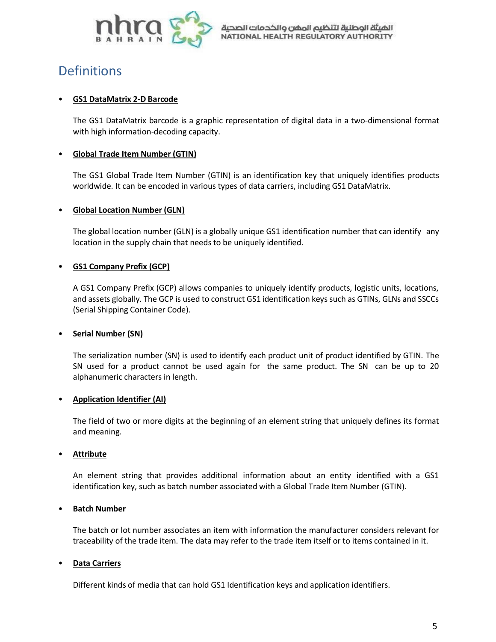

## <span id="page-4-0"></span>**Definitions**

#### • **GS1 DataMatrix 2-D Barcode**

The GS1 DataMatrix barcode is a graphic representation of digital data in a two-dimensional format with high information-decoding capacity.

#### • **Global Trade Item Number (GTIN)**

The GS1 Global Trade Item Number (GTIN) is an identification key that uniquely identifies products worldwide. It can be encoded in various types of data carriers, including GS1 DataMatrix.

#### • **Global Location Number (GLN)**

The global location number (GLN) is a globally unique GS1 identification number that can identify any location in the supply chain that needs to be uniquely identified.

#### • **GS1 Company Prefix (GCP)**

A GS1 Company Prefix (GCP) allows companies to uniquely identify products, logistic units, locations, and assets globally. The GCP is used to construct GS1 identification keys such as GTINs, GLNs and SSCCs (Serial Shipping Container Code).

#### • **Serial Number (SN)**

The serialization number (SN) is used to identify each product unit of product identified by GTIN. The SN used for a product cannot be used again for the same product. The SN can be up to 20 alphanumeric characters in length.

#### • **Application Identifier (AI)**

The field of two or more digits at the beginning of an element string that uniquely defines its format and meaning.

#### • **Attribute**

An element string that provides additional information about an entity identified with a GS1 identification key, such as batch number associated with a Global Trade Item Number (GTIN).

#### • **Batch Number**

The batch or lot number associates an item with information the manufacturer considers relevant for traceability of the trade item. The data may refer to the trade item itself or to items contained in it.

#### • **Data Carriers**

Different kinds of media that can hold GS1 Identification keys and application identifiers.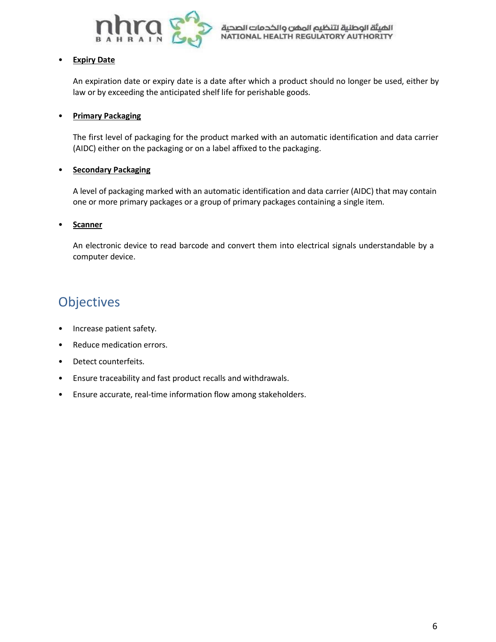

#### • **Expiry Date**

An expiration date or expiry date is a date after which a product should no longer be used, either by law or by exceeding the anticipated shelf life for perishable goods.

#### • **Primary Packaging**

The first level of packaging for the product marked with an automatic identification and data carrier (AIDC) either on the packaging or on a label affixed to the packaging.

### • **Secondary Packaging**

A level of packaging marked with an automatic identification and data carrier (AIDC) that may contain one or more primary packages or a group of primary packages containing a single item.

### • **Scanner**

An electronic device to read barcode and convert them into electrical signals understandable by a computer device.

## <span id="page-5-0"></span>**Objectives**

- Increase patient safety.
- Reduce medication errors.
- Detect counterfeits.
- Ensure traceability and fast product recalls and withdrawals.
- Ensure accurate, real-time information flow among stakeholders.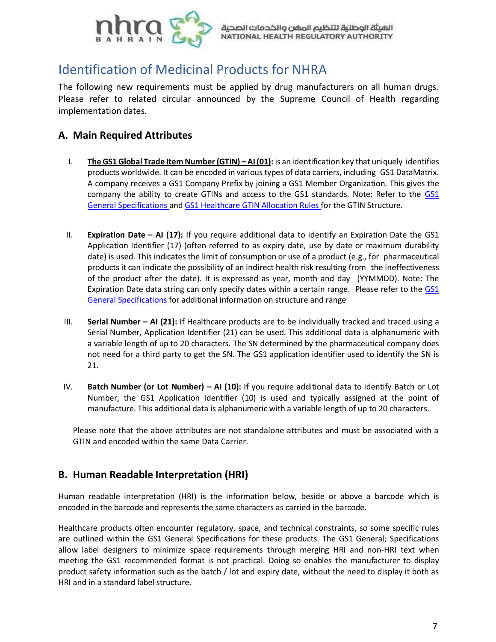

## <span id="page-6-0"></span>Identification of Medicinal Products for NHRA

The following new requirements must be applied by drug manufacturers on all human drugs. Please refer to related circular announced by the Supreme Council of Health regarding implementation dates.

### **A. Main Required Attributes**

- I. **The GS1Global Trade Item Number(GTIN) – AI(01):** is an identification key that uniquely identifies products worldwide. It can be encoded in various types of data carriers, including GS1 DataMatrix. A company receives a GS1 Company Prefix by joining a GS1 Member Organization. This gives the company the ability to create GTINs and access to the GS1 standards. Note: Refer to the [GS1](https://www.gs1.org/sites/default/files/docs/barcodes/GS1_General_Specifications.pdf) General [Specifications](https://www.gs1.org/sites/default/files/docs/barcodes/GS1_General_Specifications.pdf) and GS1 Healthcare GTIN [Allocation Rules](https://www.gs1.org/1/gtinrules/en/) for the GTIN Structure.
- II. **Expiration Date – AI (17):** If you require additional data to identify an Expiration Date the GS1 Application Identifier (17) (often referred to as expiry date, use by date or maximum durability date) is used. This indicates the limit of consumption or use of a product (e.g., for pharmaceutical products it can indicate the possibility of an indirect health risk resulting from the ineffectiveness of the product after the date). It is expressed as year, month and day (YYMMDD). Note: The Expiration Date data string can only specify dates within a certain range. Please refer to the [GS1](https://www.gs1.org/sites/default/files/docs/barcodes/GS1_General_Specifications.pdf) [General Specifications](https://www.gs1.org/sites/default/files/docs/barcodes/GS1_General_Specifications.pdf) for additional information on structure and range
- III. **Serial Number – AI (21):** If Healthcare products are to be individually tracked and traced using a Serial Number, Application Identifier (21) can be used. This additional data is alphanumeric with a variable length of up to 20 characters. The SN determined by the pharmaceutical company does not need for a third party to get the SN. The GS1 application identifier used to identify the SN is 21.
- IV. **Batch Number (or Lot Number) – AI (10):** If you require additional data to identify Batch or Lot Number, the GS1 Application Identifier (10) is used and typically assigned at the point of manufacture. This additional data is alphanumeric with a variable length of up to 20 characters.

Please note that the above attributes are not standalone attributes and must be associated with a GTIN and encoded within the same Data Carrier.

### **B. Human Readable Interpretation (HRI)**

Human readable interpretation (HRI) is the information below, beside or above a barcode which is encoded in the barcode and represents the same characters as carried in the barcode.

Healthcare products often encounter regulatory, space, and technical constraints, so some specific rules are outlined within the GS1 General Specifications for these products. The GS1 General; Specifications allow label designers to minimize space requirements through merging HRI and non-HRI text when meeting the GS1 recommended format is not practical. Doing so enables the manufacturer to display product safety information such as the batch / lot and expiry date, without the need to display it both as HRI and in a standard label structure.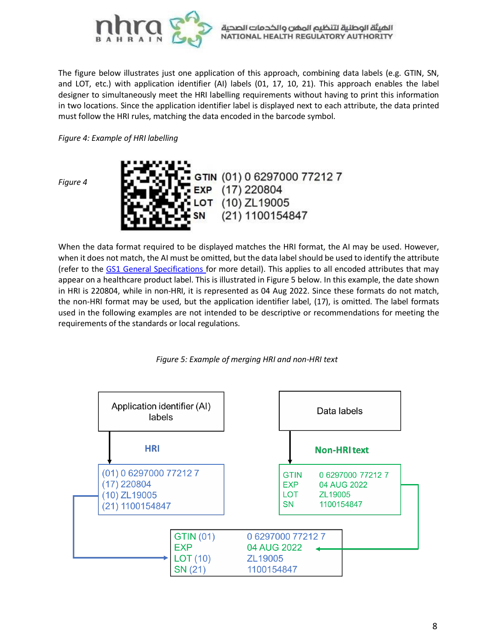

The figure below illustrates just one application of this approach, combining data labels (e.g. GTIN, SN, and LOT, etc.) with application identifier (AI) labels (01, 17, 10, 21). This approach enables the label designer to simultaneously meet the HRI labelling requirements without having to print this information in two locations. Since the application identifier label is displayed next to each attribute, the data printed must follow the HRI rules, matching the data encoded in the barcode symbol.

*Figure 4: Example of HRI labelling*

*Figure 4*



When the data format required to be displayed matches the HRI format, the AI may be used. However, when it does not match, the AI must be omitted, but the data label should be used to identify the attribute (refer to the GS1 General [Specifications](https://www.gs1.org/sites/default/files/docs/barcodes/GS1_General_Specifications.pdf) for more detail). This applies to all encoded attributes that may appear on a healthcare product label. This is illustrated in Figure 5 below. In this example, the date shown in HRI is 220804, while in non-HRI, it is represented as 04 Aug 2022. Since these formats do not match, the non-HRI format may be used, but the application identifier label, (17), is omitted. The label formats used in the following examples are not intended to be descriptive or recommendations for meeting the requirements of the standards or local regulations.



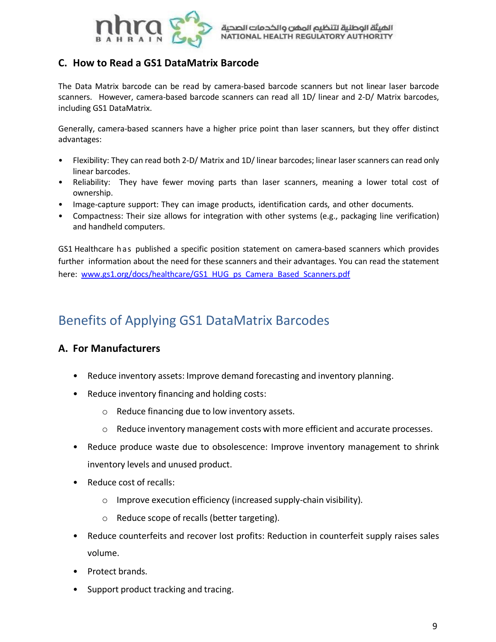

### **C. How to Read a GS1 DataMatrix Barcode**

The Data Matrix barcode can be read by camera-based barcode scanners but not linear laser barcode scanners. However, camera-based barcode scanners can read all 1D/ linear and 2-D/ Matrix barcodes, including GS1 DataMatrix.

Generally, camera-based scanners have a higher price point than laser scanners, but they offer distinct advantages:

- Flexibility: They can read both 2-D/ Matrix and 1D/ linear barcodes; linear laser scanners can read only linear barcodes.
- Reliability: They have fewer moving parts than laser scanners, meaning a lower total cost of ownership.
- Image-capture support: They can image products, identification cards, and other documents.
- Compactness: Their size allows for integration with other systems (e.g., packaging line verification) and handheld computers.

GS1 Healthcare h as published a specific position statement on camera-based scanners which provides further information about the need for these scanners and their advantages. You can read the statement here: [www.gs1.org/docs/healthcare/GS1\\_HUG\\_ps\\_Camera\\_Based\\_Scanners.pdf](http://www.gs1.org/docs/healthcare/GS1_HUG_ps_Camera_Based_Scanners.pdf)

## <span id="page-8-0"></span>Benefits of Applying GS1 DataMatrix Barcodes

### **A. For Manufacturers**

- Reduce inventory assets: Improve demand forecasting and inventory planning.
- Reduce inventory financing and holding costs:
	- o Reduce financing due to low inventory assets.
	- o Reduce inventory management costs with more efficient and accurate processes.
- Reduce produce waste due to obsolescence: Improve inventory management to shrink inventory levels and unused product.
- Reduce cost of recalls:
	- o Improve execution efficiency (increased supply-chain visibility).
	- o Reduce scope of recalls (better targeting).
- Reduce counterfeits and recover lost profits: Reduction in counterfeit supply raises sales volume.
- Protect brands.
- Support product tracking and tracing.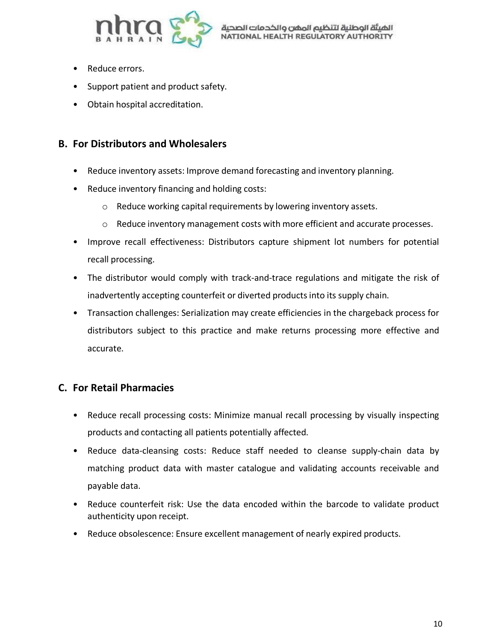

- Reduce errors.
- Support patient and product safety.
- Obtain hospital accreditation.

### **B. For Distributors and Wholesalers**

- Reduce inventory assets: Improve demand forecasting and inventory planning.
- Reduce inventory financing and holding costs:
	- o Reduce working capital requirements by lowering inventory assets.
	- $\circ$  Reduce inventory management costs with more efficient and accurate processes.
- Improve recall effectiveness: Distributors capture shipment lot numbers for potential recall processing.
- The distributor would comply with track-and-trace regulations and mitigate the risk of inadvertently accepting counterfeit or diverted productsinto its supply chain.
- Transaction challenges: Serialization may create efficiencies in the chargeback process for distributors subject to this practice and make returns processing more effective and accurate.

### **C. For Retail Pharmacies**

- Reduce recall processing costs: Minimize manual recall processing by visually inspecting products and contacting all patients potentially affected.
- Reduce data-cleansing costs: Reduce staff needed to cleanse supply-chain data by matching product data with master catalogue and validating accounts receivable and payable data.
- Reduce counterfeit risk: Use the data encoded within the barcode to validate product authenticity upon receipt.
- Reduce obsolescence: Ensure excellent management of nearly expired products.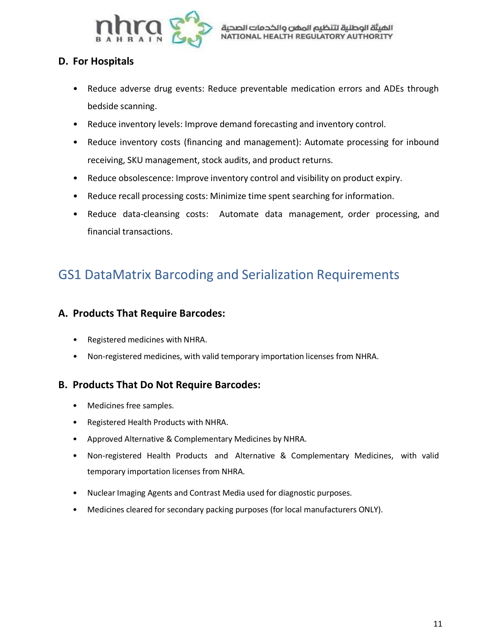

### **D. For Hospitals**

- Reduce adverse drug events: Reduce preventable medication errors and ADEs through bedside scanning.
- Reduce inventory levels: Improve demand forecasting and inventory control.
- Reduce inventory costs (financing and management): Automate processing for inbound receiving, SKU management, stock audits, and product returns.
- Reduce obsolescence: Improve inventory control and visibility on product expiry.
- Reduce recall processing costs: Minimize time spent searching for information.
- Reduce data-cleansing costs: Automate data management, order processing, and financial transactions.

## <span id="page-10-0"></span>GS1 DataMatrix Barcoding and Serialization Requirements

### **A. Products That Require Barcodes:**

- Registered medicines with NHRA.
- Non-registered medicines, with valid temporary importation licenses from NHRA.

### **B. Products That Do Not Require Barcodes:**

- Medicines free samples.
- Registered Health Products with NHRA.
- Approved Alternative & Complementary Medicines by NHRA.
- Non-registered Health Products and Alternative & Complementary Medicines, with valid temporary importation licenses from NHRA.
- Nuclear Imaging Agents and Contrast Media used for diagnostic purposes.
- Medicines cleared for secondary packing purposes (for local manufacturers ONLY).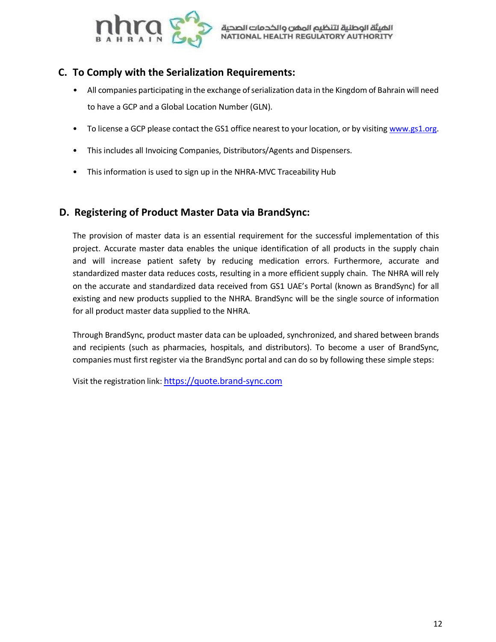

### **C. To Comply with the Serialization Requirements:**

- All companies participating in the exchange of serialization data in the Kingdom of Bahrain will need to have a GCP and a Global Location Number (GLN).
- To license a GCP please contact the GS1 office nearest to your location, or by visitin[g www.gs1.org.](http://www.gs1.org/)
- This includes all Invoicing Companies, Distributors/Agents and Dispensers.
- This information is used to sign up in the NHRA-MVC Traceability Hub

### **D. Registering of Product Master Data via BrandSync:**

The provision of master data is an essential requirement for the successful implementation of this project. Accurate master data enables the unique identification of all products in the supply chain and will increase patient safety by reducing medication errors. Furthermore, accurate and standardized master data reduces costs, resulting in a more efficient supply chain. The NHRA will rely on the accurate and standardized data received from GS1 UAE's Portal (known as BrandSync) for all existing and new products supplied to the NHRA. BrandSync will be the single source of information for all product master data supplied to the NHRA.

Through BrandSync, product master data can be uploaded, synchronized, and shared between brands and recipients (such as pharmacies, hospitals, and distributors). To become a user of BrandSync, companies must first register via the BrandSync portal and can do so by following these simple steps:

Visit the registration link: https://quote.brand-sync.com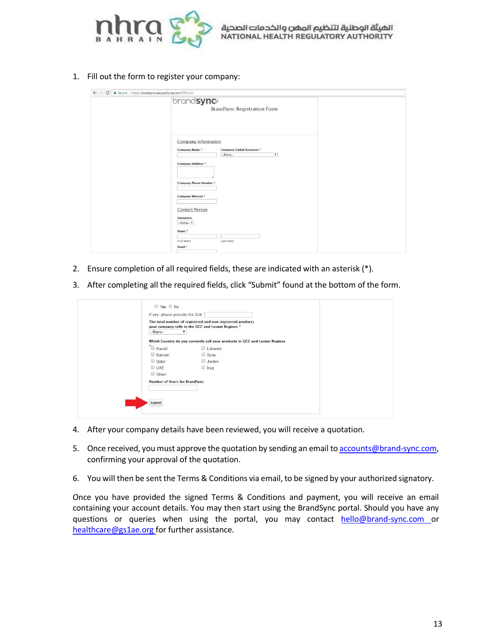

1. Fill out the form to register your company:

| ← → C   a Secure   https://brandsync.secure.force.com/BSForm/ |                                                                                                                                                                                                                                                                                                          |  |  |  |  |
|---------------------------------------------------------------|----------------------------------------------------------------------------------------------------------------------------------------------------------------------------------------------------------------------------------------------------------------------------------------------------------|--|--|--|--|
|                                                               | brandsync <sup>®</sup><br><b>BrandSync Registration Form</b>                                                                                                                                                                                                                                             |  |  |  |  |
|                                                               | Company Information<br>Company Name *<br><b>Company Global Revenues *</b><br>$-None-$<br>$\bullet$<br><b>Company Address *</b><br><b>Company Phone Number*</b><br><b>Company Website *</b><br><b>Contact Person</b><br>Salutation<br>$-None-$<br>Name <sup>*</sup><br>First Name<br>Last Name<br>Email * |  |  |  |  |

- 2. Ensure completion of all required fields, these are indicated with an asterisk (\*).
- 3. After completing all the required fields, click "Submit" found at the bottom of the form.

| The total number of registered and non registered products |                                                                             |  |
|------------------------------------------------------------|-----------------------------------------------------------------------------|--|
|                                                            | your company sells in the GCC and Levant Regions *                          |  |
| $-None-$                                                   |                                                                             |  |
|                                                            | Which Country do you currently sell your products in GCC and Levant Regions |  |
| * Kuwait                                                   | Lebanon                                                                     |  |
| <b>Bahrain</b>                                             | Syria                                                                       |  |
| Qatar                                                      | Jordan                                                                      |  |
| UAE                                                        | $\Box$ Iraq                                                                 |  |
| Oman                                                       |                                                                             |  |
| <b>Number of Users for BrandSync</b>                       |                                                                             |  |
|                                                            |                                                                             |  |
|                                                            |                                                                             |  |
| Submit                                                     |                                                                             |  |
|                                                            |                                                                             |  |

- 4. After your company details have been reviewed, you will receive a quotation.
- 5. Once received, you must approve the quotation by sending an email to [accounts@brand-sync.com,](mailto:accounts@brand-sync.com) confirming your approval of the quotation.
- 6. You will then be sent the Terms & Conditions via email, to be signed by your authorized signatory.

Once you have provided the signed Terms & Conditions and payment, you will receive an email containing your account details. You may then start using the BrandSync portal. Should you have any questions or queries when using the portal, you may contact [hello@brand-sync.com](mailto:hello@brand-sync.com) o[r](mailto:healthcare@gs1ae.org) [healthcare@gs1ae.org f](mailto:healthcare@gs1ae.org)or further assistance.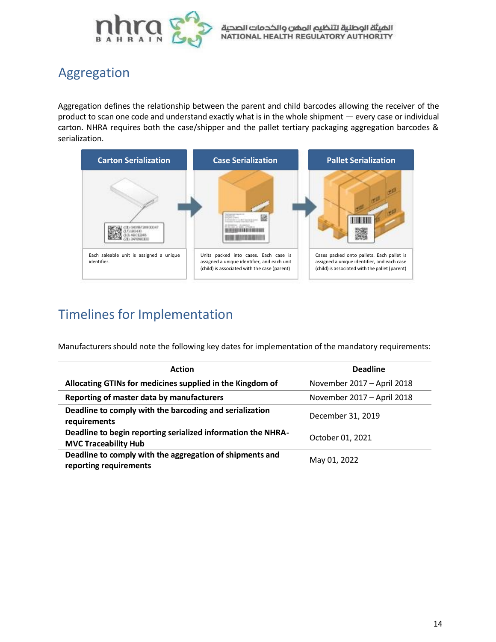

## <span id="page-13-0"></span>Aggregation

Aggregation defines the relationship between the parent and child barcodes allowing the receiver of the product to scan one code and understand exactly what is in the whole shipment — every case or individual carton. NHRA requires both the case/shipper and the pallet tertiary packaging aggregation barcodes & serialization.



## <span id="page-13-1"></span>Timelines for Implementation

Manufacturers should note the following key dates for implementation of the mandatory requirements:

| <b>Action</b>                                                                               | <b>Deadline</b>            |
|---------------------------------------------------------------------------------------------|----------------------------|
| Allocating GTINs for medicines supplied in the Kingdom of                                   | November 2017 - April 2018 |
| Reporting of master data by manufacturers                                                   | November 2017 - April 2018 |
| Deadline to comply with the barcoding and serialization<br>requirements                     | December 31, 2019          |
| Deadline to begin reporting serialized information the NHRA-<br><b>MVC Traceability Hub</b> | October 01, 2021           |
| Deadline to comply with the aggregation of shipments and<br>reporting requirements          | May 01, 2022               |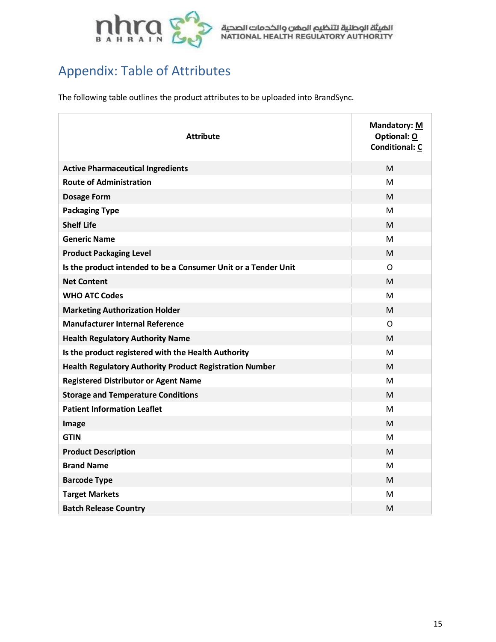

# <span id="page-14-0"></span>Appendix: Table of Attributes

The following table outlines the product attributes to be uploaded into BrandSync.

| <b>Attribute</b>                                               | <b>Mandatory: M</b><br>Optional: O<br><b>Conditional: C</b> |
|----------------------------------------------------------------|-------------------------------------------------------------|
| <b>Active Pharmaceutical Ingredients</b>                       | M                                                           |
| <b>Route of Administration</b>                                 | м                                                           |
| <b>Dosage Form</b>                                             | M                                                           |
| <b>Packaging Type</b>                                          | M                                                           |
| <b>Shelf Life</b>                                              | M                                                           |
| <b>Generic Name</b>                                            | M                                                           |
| <b>Product Packaging Level</b>                                 | M                                                           |
| Is the product intended to be a Consumer Unit or a Tender Unit | $\mathsf{O}$                                                |
| <b>Net Content</b>                                             | М                                                           |
| <b>WHO ATC Codes</b>                                           | M                                                           |
| <b>Marketing Authorization Holder</b>                          | M                                                           |
| <b>Manufacturer Internal Reference</b>                         | O                                                           |
| <b>Health Regulatory Authority Name</b>                        | M                                                           |
| Is the product registered with the Health Authority            | M                                                           |
| <b>Health Regulatory Authority Product Registration Number</b> | M                                                           |
| <b>Registered Distributor or Agent Name</b>                    | M                                                           |
| <b>Storage and Temperature Conditions</b>                      | M                                                           |
| <b>Patient Information Leaflet</b>                             | M                                                           |
| Image                                                          | M                                                           |
| <b>GTIN</b>                                                    | м                                                           |
| <b>Product Description</b>                                     | M                                                           |
| <b>Brand Name</b>                                              | M                                                           |
| <b>Barcode Type</b>                                            | M                                                           |
| <b>Target Markets</b>                                          | M                                                           |
| <b>Batch Release Country</b>                                   | M                                                           |